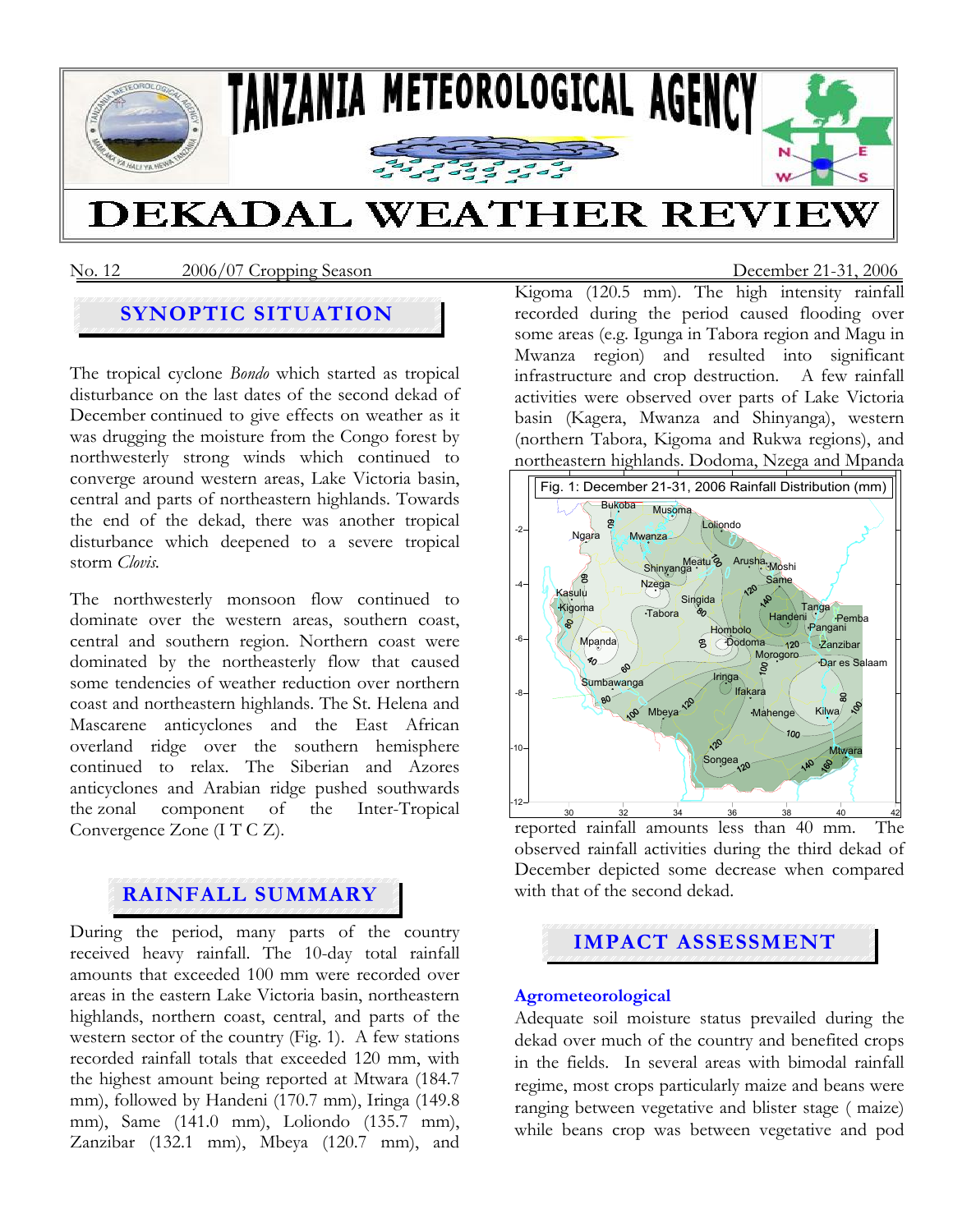

No. 12 2006/07 Cropping Season December 21-31, 2006

## **SYNOPTIC SITUATION**

The tropical cyclone *Bondo* which started as tropical disturbance on the last dates of the second dekad of December continued to give effects on weather as it was drugging the moisture from the Congo forest by northwesterly strong winds which continued to converge around western areas, Lake Victoria basin, central and parts of northeastern highlands. Towards the end of the dekad, there was another tropical disturbance which deepened to a severe tropical storm *Clovis.*

The northwesterly monsoon flow continued to dominate over the western areas, southern coast, central and southern region. Northern coast were dominated by the northeasterly flow that caused some tendencies of weather reduction over northern coast and northeastern highlands. The St. Helena and Mascarene anticyclones and the East African overland ridge over the southern hemisphere continued to relax. The Siberian and Azores anticyclones and Arabian ridge pushed southwards the zonal component of the Inter-Tropical Convergence Zone (I T C Z).

## **RAINFALL SUMMARY**

During the period, many parts of the country received heavy rainfall. The 10-day total rainfall amounts that exceeded 100 mm were recorded over areas in the eastern Lake Victoria basin, northeastern highlands, northern coast, central, and parts of the western sector of the country (Fig. 1). A few stations recorded rainfall totals that exceeded 120 mm, with the highest amount being reported at Mtwara (184.7 mm), followed by Handeni (170.7 mm), Iringa (149.8 mm), Same (141.0 mm), Loliondo (135.7 mm), Zanzibar (132.1 mm), Mbeya (120.7 mm), and Kigoma (120.5 mm). The high intensity rainfall recorded during the period caused flooding over some areas (e.g. Igunga in Tabora region and Magu in Mwanza region) and resulted into significant infrastructure and crop destruction. A few rainfall activities were observed over parts of Lake Victoria basin (Kagera, Mwanza and Shinyanga), western (northern Tabora, Kigoma and Rukwa regions), and northeastern highlands. Dodoma, Nzega and Mpanda



reported rainfall amounts less than 40 mm. The observed rainfall activities during the third dekad of December depicted some decrease when compared with that of the second dekad.

# **IMPACT ASSESSMENT**

#### **Agrometeorological**

Adequate soil moisture status prevailed during the dekad over much of the country and benefited crops in the fields. In several areas with bimodal rainfall regime, most crops particularly maize and beans were ranging between vegetative and blister stage ( maize) while beans crop was between vegetative and pod